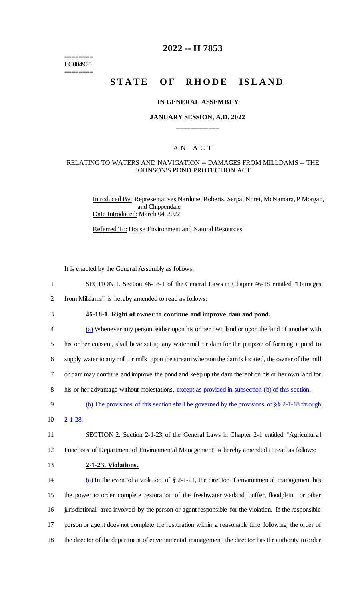======== LC004975 ========

# **2022 -- H 7853**

# **STATE OF RHODE ISLAND**

### **IN GENERAL ASSEMBLY**

## **JANUARY SESSION, A.D. 2022 \_\_\_\_\_\_\_\_\_\_\_\_**

## A N A C T

#### RELATING TO WATERS AND NAVIGATION -- DAMAGES FROM MILLDAMS -- THE JOHNSON'S POND PROTECTION ACT

Introduced By: Representatives Nardone, Roberts, Serpa, Noret, McNamara, P Morgan, and Chippendale Date Introduced: March 04, 2022

Referred To: House Environment and Natural Resources

It is enacted by the General Assembly as follows:

| $\mathbf{1}$   | SECTION 1. Section 46-18-1 of the General Laws in Chapter 46-18 entitled "Damages"                    |
|----------------|-------------------------------------------------------------------------------------------------------|
| $\overline{2}$ | from Milldams" is hereby amended to read as follows:                                                  |
| 3              | 46-18-1. Right of owner to continue and improve dam and pond.                                         |
| 4              | (a) Whenever any person, either upon his or her own land or upon the land of another with             |
| 5              | his or her consent, shall have set up any water mill or dam for the purpose of forming a pond to      |
| 6              | supply water to any mill or mills upon the stream whereon the dam is located, the owner of the mill   |
| 7              | or dam may continue and improve the pond and keep up the dam thereof on his or her own land for       |
| 8              | his or her advantage without molestations, except as provided in subsection (b) of this section.      |
| 9              | (b) The provisions of this section shall be governed by the provisions of $\S$ $\S$ 2-1-18 through    |
| 10             | $2 - 1 - 28$ .                                                                                        |
| 11             | SECTION 2. Section 2-1-23 of the General Laws in Chapter 2-1 entitled "Agricultural"                  |
| 12             | Functions of Department of Environmental Management" is hereby amended to read as follows:            |
| 13             | 2-1-23. Violations.                                                                                   |
| 14             | (a) In the event of a violation of $\S$ 2-1-21, the director of environmental management has          |
| 15             | the power to order complete restoration of the freshwater wetland, buffer, floodplain, or other       |
| 16             | jurisdictional area involved by the person or agent responsible for the violation. If the responsible |
| 17             | person or agent does not complete the restoration within a reasonable time following the order of     |
| 18             | the director of the department of environmental management, the director has the authority to order   |
|                |                                                                                                       |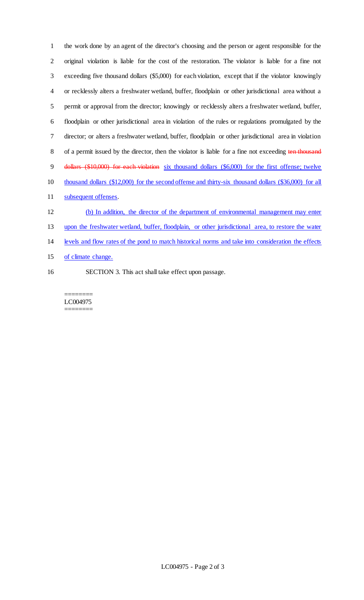the work done by an agent of the director's choosing and the person or agent responsible for the original violation is liable for the cost of the restoration. The violator is liable for a fine not exceeding five thousand dollars (\$5,000) for each violation, except that if the violator knowingly or recklessly alters a freshwater wetland, buffer, floodplain or other jurisdictional area without a permit or approval from the director; knowingly or recklessly alters a freshwater wetland, buffer, floodplain or other jurisdictional area in violation of the rules or regulations promulgated by the director; or alters a freshwater wetland, buffer, floodplain or other jurisdictional area in violation 8 of a permit issued by the director, then the violator is liable for a fine not exceeding ten thousand dollars (\$10,000) for each violation six thousand dollars (\$6,000) for the first offense; twelve thousand dollars (\$12,000) for the second offense and thirty-six thousand dollars (\$36,000) for all subsequent offenses. (b) In addition, the director of the department of environmental management may enter upon the freshwater wetland, buffer, floodplain, or other jurisdictional area, to restore the water

- levels and flow rates of the pond to match historical norms and take into consideration the effects
- of climate change.
- SECTION 3. This act shall take effect upon passage.

======== LC004975 ========